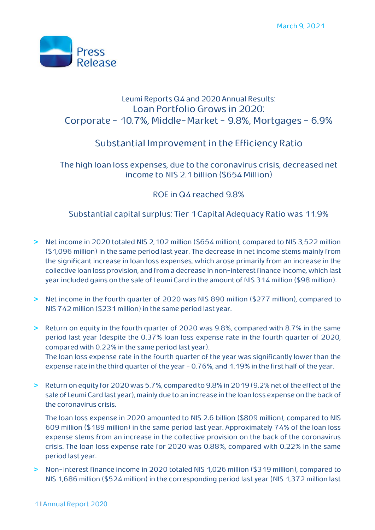

## Leumi Reports Q4 and 2020 Annual Results: Loan Portfolio Grows in 2020: Corporate - 10.7%, Middle-Market - 9.8%, Mortgages - 6.9%

# Substantial Improvement in the Efficiency Ratio

The high loan loss expenses, due to the coronavirus crisis, decreased net income to NIS 2.1billion (\$654 Million)

## ROE in Q4reached 9.8%

### Substantial capital surplus: Tier 1Capital Adequacy Ratio was 11.9%

- **>** Net income in 2020 totaled NIS 2,102 million (\$654 million), compared to NIS 3,522 million (\$1,096 million) in the same period last year. The decrease in net income stems mainly from the significant increase in loan loss expenses, which arose primarily from an increase in the collective loan loss provision, and from a decrease in non-interest finance income, which last year included gains on the sale of Leumi Card in the amount of NIS 314 million (\$98 million).
- **>** Net income in the fourth quarter of 2020 was NIS 890 million (\$277 million), compared to NIS 742 million (\$231 million) in the same period last year.
- **>** Return on equity in the fourth quarter of 2020 was 9.8%, compared with 8.7% in the same period last year (despite the 0.37% loan loss expense rate in the fourth quarter of 2020, compared with 0.22% in the same period last year). The loan loss expense rate in the fourth quarter of the year was significantly lower than the expense rate in the third quarter of the year - 0.76%, and 1.19% in the first half of the year.
- **>** Return on equity for 2020 was 5.7%, compared to 9.8% in 2019 (9.2% net of the effect of the sale of Leumi Card last year), mainly due to an increase in the loan loss expense on the back of the coronavirus crisis.

The loan loss expense in 2020 amounted to NIS 2.6 billion (\$809 million), compared to NIS 609 million (\$189 million) in the same period last year. Approximately 74% of the loan loss expense stems from an increase in the collective provision on the back of the coronavirus crisis. The loan loss expense rate for 2020 was 0.88%, compared with 0.22% in the same period last year.

**>** Non-interest finance income in 2020 totaled NIS 1,026 million (\$319 million), compared to NIS 1,686 million (\$524 million) in the corresponding period last year (NIS 1,372 million last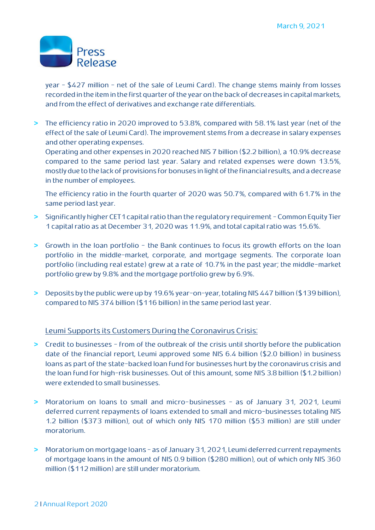

year - \$427 million - net of the sale of Leumi Card). The change stems mainly from losses recorded in the item in the first quarter of the year on the back of decreases in capital markets, and from the effect of derivatives and exchange rate differentials.

**>** The efficiency ratio in 2020 improved to 53.8%, compared with 58.1% last year (net of the effect of the sale of Leumi Card). The improvement stems from a decrease in salary expenses and other operating expenses.

Operating and other expenses in 2020 reached NIS 7 billion (\$2.2 billion), a 10.9% decrease compared to the same period last year. Salary and related expenses were down 13.5%, mostly due to the lack of provisions for bonuses in light ofthe financial results, and a decrease in the number of employees.

The efficiency ratio in the fourth quarter of 2020 was 50.7%, compared with 61.7% in the same period last year.

- **>** Significantly higher CET1 capital ratio than the regulatory requirement Common Equity Tier 1 capital ratio as at December 31, 2020 was 11.9%, and total capital ratio was 15.6%.
- **>** Growth in the loan portfolio the Bank continues to focus its growth efforts on the loan portfolio in the middle-market, corporate, and mortgage segments. The corporate loan portfolio (including real estate) grew at a rate of 10.7% in the past year; the middle-market portfolio grew by 9.8% and the mortgage portfolio grew by 6.9%.
- **>** Deposits by the public were up by 19.6% year-on-year, totaling NIS 447 billion (\$139billion), compared to NIS 374 billion (\$116 billion) in the same period last year.

#### Leumi Supports its Customers During the Coronavirus Crisis:

- **>** Credit to businesses from of the outbreak of the crisis until shortly before the publication date of the financial report, Leumi approved some NIS 6.4 billion (\$2.0 billion) in business loans as part of the state-backed loan fund for businesses hurt by the coronavirus crisis and the loan fund for high-risk businesses. Out of this amount, some NIS 3.8 billion (\$1.2 billion) were extended to small businesses.
- **>** Moratorium on loans to small and micro-businesses as of January 31, 2021, Leumi deferred current repayments of loans extended to small and micro-businesses totaling NIS 1.2 billion (\$373 million), out of which only NIS 170 million (\$53 million) are still under moratorium.
- **>** Moratorium on mortgage loans as of January 31,2021, Leumi deferred current repayments of mortgage loans in the amount of NIS 0.9 billion (\$280 million), out of which only NIS 360 million (\$112 million) are still under moratorium.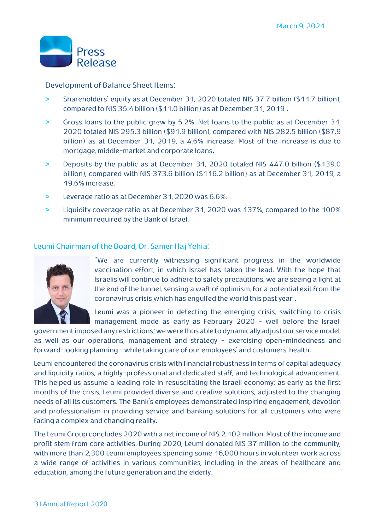

#### Development of Balance Sheet Items:

- **>** Shareholders' equity as at December 31, 2020 totaled NIS 37.7 billion (\$11.7 billion), compared to NIS 35.4 billion (\$11.0 billion) as at December 31, 2019 .
- **>** Gross loans to the public grew by 5.2%. Net loans to the public as at December 31, 2020 totaled NIS 295.3 billion (\$91.9 billion), compared with NIS 282.5 billion (\$87.9 billion) as at December 31, 2019, a 4.6% increase. Most of the increase is due to mortgage, middle-market and corporate loans.
- **>** Deposits by the public as at December 31, 2020 totaled NIS 447.0 billion (\$139.0 billion), compared with NIS 373.6 billion (\$116.2 billion) as at December 31, 2019, a 19.6% increase.
- **>** Leverage ratio as at December 31, 2020 was 6.6%.
- **>** Liquidity coverage ratio as at December 31, 2020 was 137%, compared to the 100% minimum required by the Bank of Israel.

#### Leumi Chairman of the Board, Dr. Samer Haj Yehia:



"We are currently witnessing significant progress in the worldwide vaccination effort, in which Israel has taken the lead. With the hope that Israelis will continue to adhere to safety precautions, we are seeing a light at the end of the tunnel, sensing a waft of optimism, for a potential exit from the coronavirus crisis which has engulfed the world this past year .

Leumi was a pioneer in detecting the emerging crisis, switching to crisis management mode as early as February 2020 - well before the Israeli

government imposedany restrictions; we were thus able to dynamically adjust our service model, as well as our operations, management and strategy - exercising open-mindedness and forward-looking planning - while taking care of our employees' and customers' health.

Leumi encountered the coronavirus crisis with financial robustness in terms of capital adequacy and liquidity ratios, a highly-professional and dedicated staff, and technological advancement. This helped us assume a leading role in resuscitating the Israeli economy; as early as the first months of the crisis, Leumi provided diverse and creative solutions, adjusted to the changing needs of all its customers. The Bank's employees demonstrated inspiring engagement, devotion and professionalism in providing service and banking solutions for all customers who were facing a complex and changing reality.

The Leumi Group concludes 2020 with a net income of NIS 2,102 million. Most of the income and profit stem from core activities. During 2020, Leumi donated NIS 37 million to the community, with more than 2,300 Leumi employees spending some 16,000 hours in volunteer work across a wide range of activities in various communities, including in the areas of healthcare and education, among the future generation and the elderly.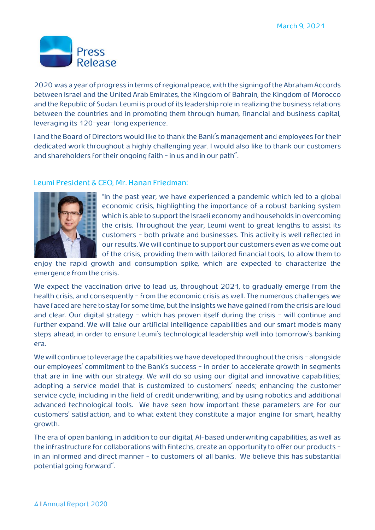

2020 was a year of progress in terms of regional peace, with the signing of the Abraham Accords between Israel and the United Arab Emirates, the Kingdom of Bahrain, the Kingdom of Morocco and the Republic of Sudan. Leumi is proud of its leadership role in realizing the business relations between the countries and in promoting them through human, financial and business capital, leveraging its 120-year-long experience.

I and the Board of Directors would like to thank the Bank's management and employees for their dedicated work throughout a highly challenging year. I would also like to thank our customers and shareholders for their ongoing faith - in us and in our path".

#### Leumi President & CEO, Mr. Hanan Friedman:



"In the past year, we have experienced a pandemic which led to a global economic crisis, highlighting the importance of a robust banking system which is able to support the Israeli economy and households in overcoming the crisis. Throughout the year, Leumi went to great lengths to assist its customers - both private and businesses. This activity is well reflected in our results. We will continue to support our customers even as we come out of the crisis, providing them with tailored financial tools, to allow them to

enjoy the rapid growth and consumption spike, which are expected to characterize the emergence from the crisis.

We expect the vaccination drive to lead us, throughout 2021, to gradually emerge from the health crisis, and consequently - from the economic crisis as well. The numerous challenges we have faced are here to stay for some time, but the insights we have gained from the crisis are loud and clear. Our digital strategy - which has proven itself during the crisis - will continue and further expand. We will take our artificial intelligence capabilities and our smart models many steps ahead, in order to ensure Leumi's technological leadership well into tomorrow's banking era.

We will continue to leverage the capabilities we have developed throughout the crisis - alongside our employees' commitment to the Bank's success - in order to accelerate growth in segments that are in line with our strategy. We will do so using our digital and innovative capabilities; adopting a service model that is customized to customers' needs; enhancing the customer service cycle, including in the field of credit underwriting; and by using robotics and additional advanced technological tools. We have seen how important these parameters are for our customers' satisfaction, and to what extent they constitute a major engine for smart, healthy growth.

The era of open banking, in addition to our digital, AI-based underwriting capabilities, as well as the infrastructure for collaborations with fintechs, create an opportunity to offer our products in an informed and direct manner - to customers of all banks. We believe this has substantial potential going forward".